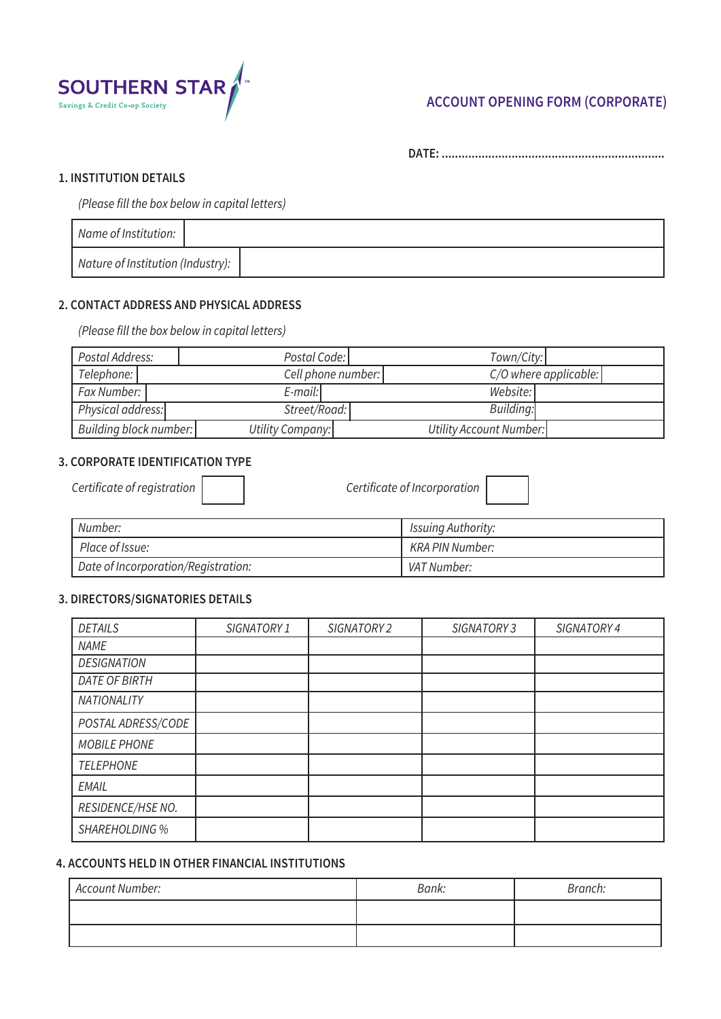

# **ACCOUNT OPENING FORM (CORPORATE)**

**DATE: ...................................................................**

#### **1. INSTITUTION DETAILS**

*(Please fill the box below in capital letters)*

| Name of Institution:              |  |
|-----------------------------------|--|
| Nature of Institution (Industry): |  |

## **2. CONTACT ADDRESS AND PHYSICAL ADDRESS**

*(Please fill the box below in capital letters)*

| Postal Address:        | Postal Code:       | Town/City:              |  |
|------------------------|--------------------|-------------------------|--|
| Telephone:             | Cell phone number: | $C/O$ where applicable: |  |
| Fax Number:            | $E$ -mail:         | Website:                |  |
| Physical address:      | Street/Road:       | Building:               |  |
| Building block number: | Utility Company:   | Utility Account Number: |  |

#### **3. CORPORATE IDENTIFICATION TYPE**

*Certificate of registration Certificate of Incorporation*

| Number:                             | Issuing Authority: |
|-------------------------------------|--------------------|
| Place of Issue:                     | KRA PIN Number:    |
| Date of Incorporation/Registration: | VAT Number:        |

## **3. DIRECTORS/SIGNATORIES DETAILS**

| <b>DETAILS</b>     | SIGNATORY 1 | SIGNATORY 2 | SIGNATORY 3 | SIGNATORY 4 |
|--------------------|-------------|-------------|-------------|-------------|
| <b>NAME</b>        |             |             |             |             |
| <b>DESIGNATION</b> |             |             |             |             |
| DATE OF BIRTH      |             |             |             |             |
| <b>NATIONALITY</b> |             |             |             |             |
| POSTAL ADRESS/CODE |             |             |             |             |
| MOBILE PHONE       |             |             |             |             |
| <b>TELEPHONE</b>   |             |             |             |             |
| EMAIL              |             |             |             |             |
| RESIDENCE/HSE NO.  |             |             |             |             |
| SHAREHOLDING %     |             |             |             |             |

### **4. ACCOUNTS HELD IN OTHER FINANCIAL INSTITUTIONS**

| Account Number: | Bank: | Branch: |
|-----------------|-------|---------|
|                 |       |         |
|                 |       |         |